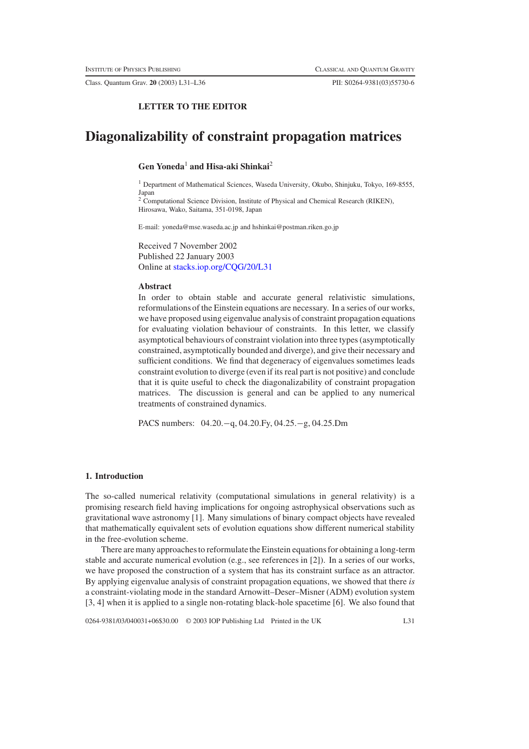Class. Quantum Grav. **20** (2003) L31–L36 PII: S0264-9381(03)55730-6

## **LETTER TO THE EDITOR**

# **Diagonalizability of constraint propagation matrices**

# **Gen Yoneda**<sup>1</sup> **and Hisa-aki Shinkai**<sup>2</sup>

<sup>1</sup> Department of Mathematical Sciences, Waseda University, Okubo, Shinjuku, Tokyo, 169-8555, Japan

<sup>2</sup> Computational Science Division, Institute of Physical and Chemical Research (RIKEN), Hirosawa, Wako, Saitama, 351-0198, Japan

E-mail: yoneda@mse.waseda.ac.jp and hshinkai@postman.riken.go.jp

Received 7 November 2002 Published 22 January 2003 Online at [stacks.iop.org/CQG/20/L31](http://stacks.iop.org/cq/20/L31)

## **Abstract**

In order to obtain stable and accurate general relativistic simulations, reformulations of the Einstein equations are necessary. In a series of our works, we have proposed using eigenvalue analysis of constraint propagation equations for evaluating violation behaviour of constraints. In this letter, we classify asymptotical behaviours of constraint violation into three types (asymptotically constrained, asymptotically bounded and diverge), and give their necessary and sufficient conditions. We find that degeneracy of eigenvalues sometimes leads constraint evolution to diverge (even if its real part is not positive) and conclude that it is quite useful to check the diagonalizability of constraint propagation matrices. The discussion is general and can be applied to any numerical treatments of constrained dynamics.

PACS numbers: 04.20.−q, 04.20.Fy, 04.25.−g, 04.25.Dm

#### **1. Introduction**

The so-called numerical relativity (computational simulations in general relativity) is a promising research field having implications for ongoing astrophysical observations such as gravitational wave astronomy [1]. Many simulations of binary compact objects have revealed that mathematically equivalent sets of evolution equations show different numerical stability in the free-evolution scheme.

There are many approaches to reformulate the Einstein equations for obtaining a long-term stable and accurate numerical evolution (e.g., see references in [2]). In a series of our works, we have proposed the construction of a system that has its constraint surface as an attractor. By applying eigenvalue analysis of constraint propagation equations, we showed that there *is* a constraint-violating mode in the standard Arnowitt–Deser–Misner (ADM) evolution system [3, 4] when it is applied to a single non-rotating black-hole spacetime [6]. We also found that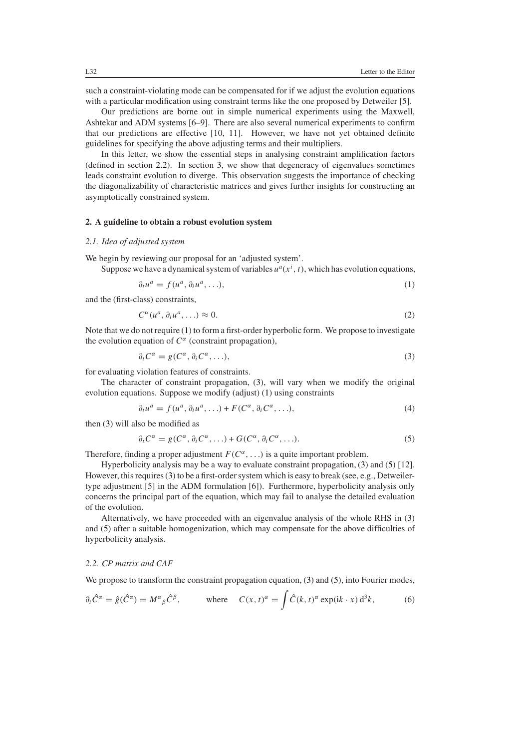such a constraint-violating mode can be compensated for if we adjust the evolution equations with a particular modification using constraint terms like the one proposed by Detweiler [5].

Our predictions are borne out in simple numerical experiments using the Maxwell, Ashtekar and ADM systems [6–9]. There are also several numerical experiments to confirm that our predictions are effective [10, 11]. However, we have not yet obtained definite guidelines for specifying the above adjusting terms and their multipliers.

In this letter, we show the essential steps in analysing constraint amplification factors (defined in section [2.2\)](#page-1-0). In section [3,](#page-2-0) we show that degeneracy of eigenvalues sometimes leads constraint evolution to diverge. This observation suggests the importance of checking the diagonalizability of characteristic matrices and gives further insights for constructing an asymptotically constrained system.

#### **2. A guideline to obtain a robust evolution system**

#### *2.1. Idea of adjusted system*

<span id="page-1-1"></span>We begin by reviewing our proposal for an 'adjusted system'.

Suppose we have a dynamical system of variables  $u^a(x^i, t)$ , which has evolution equations,

$$
\partial_t u^a = f(u^a, \partial_i u^a, \ldots), \tag{1}
$$

and the (first-class) constraints,

$$
C^{\alpha}(u^a, \partial_i u^a, \ldots) \approx 0. \tag{2}
$$

<span id="page-1-2"></span>Note that we do not require [\(1\)](#page-1-1) to form a first-order hyperbolic form. We propose to investigate the evolution equation of  $C^{\alpha}$  (constraint propagation),

$$
\partial_t C^{\alpha} = g(C^{\alpha}, \partial_i C^{\alpha}, \ldots), \tag{3}
$$

for evaluating violation features of constraints.

The character of constraint propagation, [\(3\)](#page-1-2), will vary when we modify the original evolution equations. Suppose we modify (adjust) [\(1\)](#page-1-1) using constraints

$$
\partial_t u^a = f(u^a, \partial_i u^a, \ldots) + F(C^{\alpha}, \partial_i C^{\alpha}, \ldots), \tag{4}
$$

<span id="page-1-3"></span>then [\(3\)](#page-1-2) will also be modified as

$$
\partial_t C^{\alpha} = g(C^{\alpha}, \partial_i C^{\alpha}, \ldots) + G(C^{\alpha}, \partial_i C^{\alpha}, \ldots). \tag{5}
$$

Therefore, finding a proper adjustment  $F(C^{\alpha}, \ldots)$  is a quite important problem.

Hyperbolicity analysis may be a way to evaluate constraint propagation, [\(3\)](#page-1-2) and [\(5\)](#page-1-3) [12]. However, this requires [\(3\)](#page-1-2) to be a first-order system which is easy to break (see, e.g., Detweilertype adjustment [5] in the ADM formulation [6]). Furthermore, hyperbolicity analysis only concerns the principal part of the equation, which may fail to analyse the detailed evaluation of the evolution.

Alternatively, we have proceeded with an eigenvalue analysis of the whole RHS in [\(3\)](#page-1-2) and [\(5\)](#page-1-3) after a suitable homogenization, which may compensate for the above difficulties of hyperbolicity analysis.

## <span id="page-1-0"></span>*2.2. CP matrix and CAF*

We propose to transform the constraint propagation equation, [\(3\)](#page-1-2) and [\(5\)](#page-1-3), into Fourier modes,

<span id="page-1-4"></span>
$$
\partial_t \hat{C}^\alpha = \hat{g}(\hat{C}^\alpha) = M^\alpha{}_\beta \hat{C}^\beta, \qquad \text{where} \quad C(x, t)^\alpha = \int \hat{C}(k, t)^\alpha \exp(\mathrm{i}k \cdot x) \, \mathrm{d}^3k,\tag{6}
$$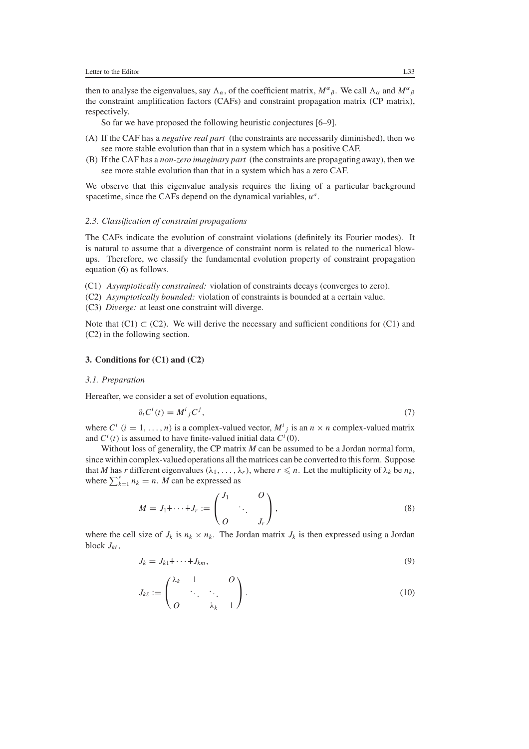then to analyse the eigenvalues, say  $\Lambda_{\alpha}$ , of the coefficient matrix,  $M^{\alpha}{}_{\beta}$ . We call  $\Lambda_{\alpha}$  and  $M^{\alpha}{}_{\beta}$ the constraint amplification factors (CAFs) and constraint propagation matrix (CP matrix), respectively.

So far we have proposed the following heuristic conjectures [6–9].

- (A) If the CAF has a *negative real part* (the constraints are necessarily diminished), then we see more stable evolution than that in a system which has a positive CAF.
- (B) If the CAF has a *non-zero imaginary part* (the constraints are propagating away), then we see more stable evolution than that in a system which has a zero CAF.

We observe that this eigenvalue analysis requires the fixing of a particular background spacetime, since the CAFs depend on the dynamical variables, *ua*.

## *2.3. Classification of constraint propagations*

The CAFs indicate the evolution of constraint violations (definitely its Fourier modes). It is natural to assume that a divergence of constraint norm is related to the numerical blowups. Therefore, we classify the fundamental evolution property of constraint propagation equation [\(6\)](#page-1-4) as follows.

(C1) *Asymptotically constrained:* violation of constraints decays (converges to zero).

- (C2) *Asymptotically bounded:* violation of constraints is bounded at a certain value.
- (C3) *Diverge:* at least one constraint will diverge.

Note that  $(C1) \subset (C2)$ . We will derive the necessary and sufficient conditions for  $(C1)$  and (C2) in the following section.

## <span id="page-2-0"></span>**3. Conditions for (C1) and (C2)**

## *3.1. Preparation*

<span id="page-2-1"></span>Hereafter, we consider a set of evolution equations,

$$
\partial_t C^i(t) = M^i{}_j C^j,\tag{7}
$$

where  $C^i$  ( $i = 1, ..., n$ ) is a complex-valued vector,  $M^i_j$  is an  $n \times n$  complex-valued matrix and  $C^i(t)$  is assumed to have finite-valued initial data  $C^i(0)$ .

Without loss of generality, the CP matrix *M* can be assumed to be a Jordan normal form, since within complex-valuedoperations all the matrices can be converted to this form. Suppose that *M* has *r* different eigenvalues  $(\lambda_1, \ldots, \lambda_r)$ , where  $r \leq n$ . Let the multiplicity of  $\lambda_k$  be  $n_k$ , where  $\sum_{k=1}^{r} n_k = n$ . *M* can be expressed as

$$
M = J_1 \dot{+} \cdots \dot{+} J_r := \begin{pmatrix} J_1 & O \\ & \ddots & \\ O & & J_r \end{pmatrix},\tag{8}
$$

where the cell size of  $J_k$  is  $n_k \times n_k$ . The Jordan matrix  $J_k$  is then expressed using a Jordan block  $J_{k\ell}$ ,

$$
J_k = J_{k1} \dot{+} \cdots \dot{+} J_{km},\tag{9}
$$

$$
J_{k\ell} := \begin{pmatrix} \lambda_k & 1 & 0 \\ & \ddots & \ddots & \\ 0 & & \lambda_k & 1 \end{pmatrix}.
$$
 (10)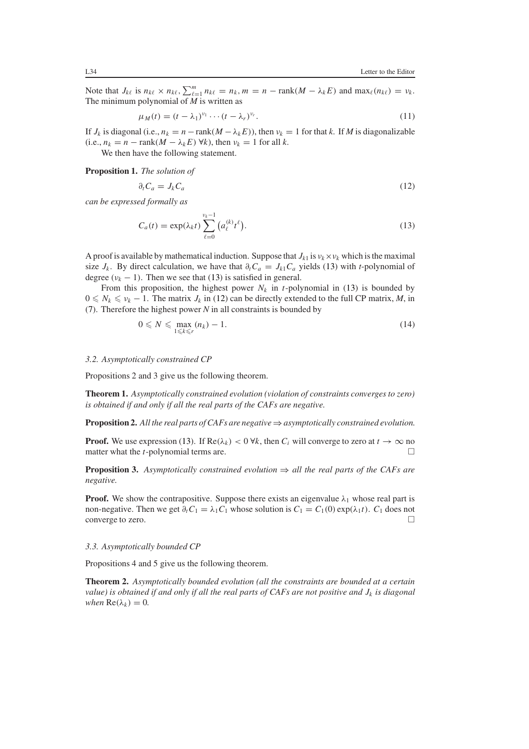Note that  $J_{k\ell}$  is  $n_{k\ell} \times n_{k\ell}$ ,  $\sum_{k=1}^{m} n_{k\ell} = n_k$ ,  $m = n - \text{rank}(M - \lambda_k E)$  and  $\max_{\ell} (n_{k\ell}) = v_k$ . The minimum polynomial of *M* is written as

$$
\mu_M(t) = (t - \lambda_1)^{\nu_1} \cdots (t - \lambda_r)^{\nu_r}.
$$
\n(11)

If  $J_k$  is diagonal (i.e.,  $n_k = n - \text{rank}(M - \lambda_k E)$ ), then  $\nu_k = 1$  for that *k*. If *M* is diagonalizable  $(i.e., n_k = n - \text{rank}(M - \lambda_k E) \forall k$ , then  $\nu_k = 1$  for all *k*.

We then have the following statement.

<span id="page-3-1"></span>**Proposition 1.** *The solution of*

$$
\partial_t C_a = J_k C_a \tag{12}
$$

<span id="page-3-0"></span>*can be expressed formally as*

$$
C_a(t) = \exp(\lambda_k t) \sum_{\ell=0}^{\nu_k - 1} (a_\ell^{(k)} t^\ell).
$$
 (13)

A proof is available by mathematical induction. Suppose that  $J_{k1}$  is  $v_k \times v_k$  which is the maximal size  $J_k$ . By direct calculation, we have that  $\partial_t C_a = J_{k1} C_a$  yields [\(13\)](#page-3-0) with *t*-polynomial of degree  $(v_k - 1)$ . Then we see that [\(13\)](#page-3-0) is satisfied in general.

From this proposition, the highest power  $N_k$  in *t*-polynomial in [\(13\)](#page-3-0) is bounded by  $0 \leq N_k \leq \nu_k - 1$ . The matrix  $J_k$  in [\(12\)](#page-3-1) can be directly extended to the full CP matrix, *M*, in [\(7\)](#page-2-1). Therefore the highest power *N* in all constraints is bounded by

$$
0 \leqslant N \leqslant \max_{1 \leqslant k \leqslant r} (n_k) - 1. \tag{14}
$$

#### *3.2. Asymptotically constrained CP*

Propositions 2 and 3 give us the following theorem.

**Theorem 1.** *Asymptotically constrained evolution (violation of constraints converges to zero) is obtained if and only if all the real parts of the CAFs are negative.*

**Proposition 2.** *All the real parts of CAFs are negative*⇒*asymptotically constrained evolution.*

**Proof.** We use expression [\(13\)](#page-3-0). If  $\text{Re}(\lambda_k) < 0 \forall k$ , then  $C_i$  will converge to zero at  $t \to \infty$  no matter what the *t*-nolynomial terms are. matter what the *t*-polynomial terms are.

**Proposition 3.** Asymptotically constrained evolution  $\Rightarrow$  all the real parts of the CAFs are *negative.*

**Proof.** We show the contrapositive. Suppose there exists an eigenvalue  $\lambda_1$  whose real part is non-negative. Then we get  $\partial_t C_1 = \lambda_1 C_1$  whose solution is  $C_1 = C_1(0) \exp(\lambda_1 t)$ .  $C_1$  does not converge to zero. converge to zero.

### *3.3. Asymptotically bounded CP*

Propositions 4 and 5 give us the following theorem.

**Theorem 2.** *Asymptotically bounded evolution (all the constraints are bounded at a certain value) is obtained if and only if all the real parts of CAFs are not positive and*  $J_k$  *is diagonal when*  $Re(\lambda_k) = 0$ *.*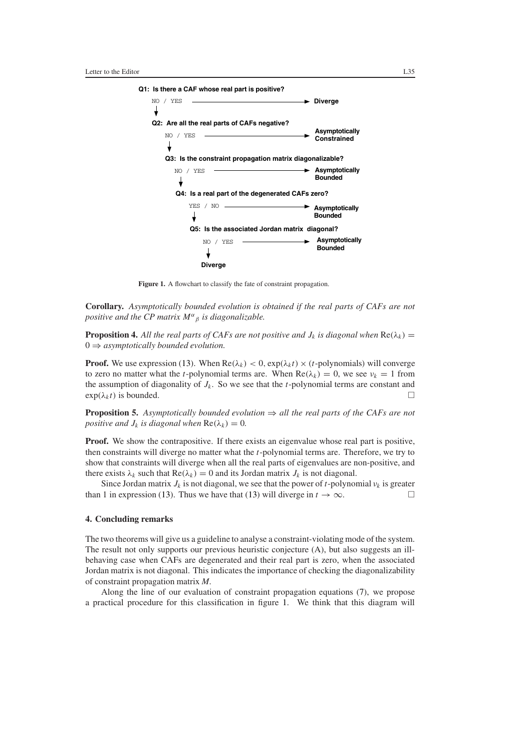

Figure 1. A flowchart to classify the fate of constraint propagation.

<span id="page-4-0"></span>**Corollary.** *Asymptotically bounded evolution is obtained if the real parts of CAFs are not positive and the CP matrix M<sup>α</sup> <sup>β</sup> is diagonalizable.*

**Proposition 4.** All the real parts of CAFs are not positive and  $J_k$  is diagonal when  $\text{Re}(\lambda_k)$  = 0 ⇒ *asymptotically bounded evolution.*

**Proof.** We use expression [\(13\)](#page-3-0). When  $\text{Re}(\lambda_k) < 0$ ,  $\exp(\lambda_k t) \times (t)$ -polynomials) will converge to zero no matter what the *t*-polynomial terms are. When  $\text{Re}(\lambda_k) = 0$ , we see  $\nu_k = 1$  from the assumption of diagonality of  $J_k$ . So we see that the *t*-polynomial terms are constant and  $\exp(\lambda_k t)$  is bounded.

**Proposition 5.** *Asymptotically bounded evolution* ⇒ *all the real parts of the CAFs are not positive and*  $J_k$  *is diagonal when*  $\text{Re}(\lambda_k) = 0$ *.* 

**Proof.** We show the contrapositive. If there exists an eigenvalue whose real part is positive, then constraints will diverge no matter what the *t*-polynomial terms are. Therefore, we try to show that constraints will diverge when all the real parts of eigenvalues are non-positive, and there exists  $\lambda_k$  such that  $\text{Re}(\lambda_k) = 0$  and its Jordan matrix  $J_k$  is not diagonal.

Since Jordan matrix  $J_k$  is not diagonal, we see that the power of *t*-polynomial  $v_k$  is greater than 1 in expression [\(13\)](#page-3-0). Thus we have that (13) will diverge in  $t \to \infty$ .  $\Box$ 

# **4. Concluding remarks**

The two theorems will give us a guideline to analyse a constraint-violating mode of the system. The result not only supports our previous heuristic conjecture (A), but also suggests an illbehaving case when CAFs are degenerated and their real part is zero, when the associated Jordan matrix is not diagonal. This indicates the importance of checking the diagonalizability of constraint propagation matrix *M*.

Along the line of our evaluation of constraint propagation equations [\(7\)](#page-2-1), we propose a practical procedure for this classification in figure [1.](#page-4-0) We think that this diagram will